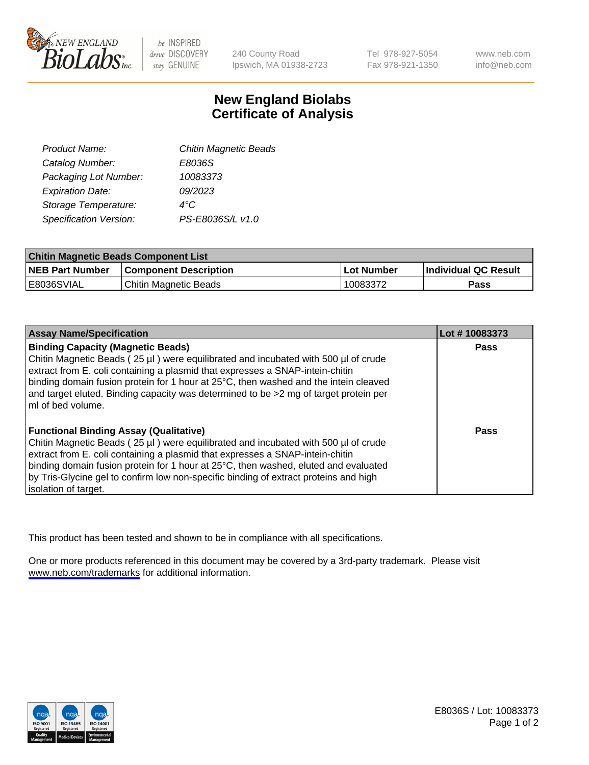

be INSPIRED drive DISCOVERY stay GENUINE

240 County Road Ipswich, MA 01938-2723 Tel 978-927-5054 Fax 978-921-1350

www.neb.com info@neb.com

## **New England Biolabs Certificate of Analysis**

| Product Name:           | <b>Chitin Magnetic Beads</b> |
|-------------------------|------------------------------|
| Catalog Number:         | E8036S                       |
| Packaging Lot Number:   | 10083373                     |
| <b>Expiration Date:</b> | 09/2023                      |
| Storage Temperature:    | 4°C                          |
| Specification Version:  | PS-E8036S/L v1.0             |
|                         |                              |

| <b>Chitin Magnetic Beads Component List</b> |                              |            |                      |  |
|---------------------------------------------|------------------------------|------------|----------------------|--|
| <b>NEB Part Number</b>                      | <b>Component Description</b> | Lot Number | Individual QC Result |  |
| E8036SVIAL                                  | Chitin Magnetic Beads        | 10083372   | Pass                 |  |

| <b>Assay Name/Specification</b>                                                                                                                                                                                                                                                                         | Lot #10083373 |
|---------------------------------------------------------------------------------------------------------------------------------------------------------------------------------------------------------------------------------------------------------------------------------------------------------|---------------|
| <b>Binding Capacity (Magnetic Beads)</b><br>Chitin Magnetic Beads (25 µl) were equilibrated and incubated with 500 µl of crude<br>extract from E. coli containing a plasmid that expresses a SNAP-intein-chitin<br>binding domain fusion protein for 1 hour at 25°C, then washed and the intein cleaved | Pass          |
| and target eluted. Binding capacity was determined to be >2 mg of target protein per<br>ml of bed volume.                                                                                                                                                                                               |               |
| <b>Functional Binding Assay (Qualitative)</b>                                                                                                                                                                                                                                                           | Pass          |
| Chitin Magnetic Beads (25 µl) were equilibrated and incubated with 500 µl of crude                                                                                                                                                                                                                      |               |
| extract from E. coli containing a plasmid that expresses a SNAP-intein-chitin                                                                                                                                                                                                                           |               |
| binding domain fusion protein for 1 hour at 25°C, then washed, eluted and evaluated                                                                                                                                                                                                                     |               |
| by Tris-Glycine gel to confirm low non-specific binding of extract proteins and high                                                                                                                                                                                                                    |               |
| isolation of target.                                                                                                                                                                                                                                                                                    |               |

This product has been tested and shown to be in compliance with all specifications.

One or more products referenced in this document may be covered by a 3rd-party trademark. Please visit <www.neb.com/trademarks>for additional information.